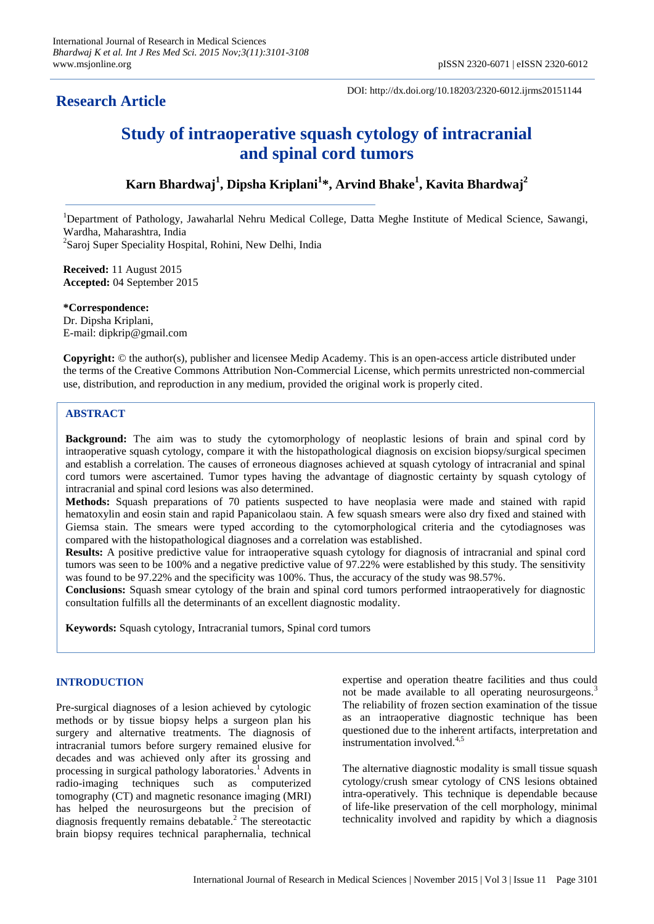# **Research Article**

DOI: http://dx.doi.org/10.18203/2320-6012.ijrms20151144

# **Study of intraoperative squash cytology of intracranial and spinal cord tumors**

# **Karn Bhardwaj<sup>1</sup> , Dipsha Kriplani<sup>1</sup> \*, Arvind Bhake<sup>1</sup> , Kavita Bhardwaj<sup>2</sup>**

<sup>1</sup>Department of Pathology, Jawaharlal Nehru Medical College, Datta Meghe Institute of Medical Science, Sawangi, Wardha, Maharashtra, India <sup>2</sup>Saroj Super Speciality Hospital, Rohini, New Delhi, India

**Received:** 11 August 2015 **Accepted:** 04 September 2015

**\*Correspondence:** Dr. Dipsha Kriplani, E-mail: dipkrip@gmail.com

**Copyright:** © the author(s), publisher and licensee Medip Academy. This is an open-access article distributed under the terms of the Creative Commons Attribution Non-Commercial License, which permits unrestricted non-commercial use, distribution, and reproduction in any medium, provided the original work is properly cited.

# **ABSTRACT**

**Background:** The aim was to study the cytomorphology of neoplastic lesions of brain and spinal cord by intraoperative squash cytology, compare it with the histopathological diagnosis on excision biopsy/surgical specimen and establish a correlation. The causes of erroneous diagnoses achieved at squash cytology of intracranial and spinal cord tumors were ascertained. Tumor types having the advantage of diagnostic certainty by squash cytology of intracranial and spinal cord lesions was also determined.

**Methods:** Squash preparations of 70 patients suspected to have neoplasia were made and stained with rapid hematoxylin and eosin stain and rapid Papanicolaou stain. A few squash smears were also dry fixed and stained with Giemsa stain. The smears were typed according to the cytomorphological criteria and the cytodiagnoses was compared with the histopathological diagnoses and a correlation was established.

**Results:** A positive predictive value for intraoperative squash cytology for diagnosis of intracranial and spinal cord tumors was seen to be 100% and a negative predictive value of 97.22% were established by this study. The sensitivity was found to be 97.22% and the specificity was 100%. Thus, the accuracy of the study was 98.57%.

**Conclusions:** Squash smear cytology of the brain and spinal cord tumors performed intraoperatively for diagnostic consultation fulfills all the determinants of an excellent diagnostic modality.

**Keywords:** Squash cytology, Intracranial tumors, Spinal cord tumors

# **INTRODUCTION**

Pre-surgical diagnoses of a lesion achieved by cytologic methods or by tissue biopsy helps a surgeon plan his surgery and alternative treatments. The diagnosis of intracranial tumors before surgery remained elusive for decades and was achieved only after its grossing and processing in surgical pathology laboratories.<sup>1</sup> Advents in radio-imaging techniques such as computerized tomography (CT) and magnetic resonance imaging (MRI) has helped the neurosurgeons but the precision of diagnosis frequently remains debatable.<sup>2</sup> The stereotactic brain biopsy requires technical paraphernalia, technical expertise and operation theatre facilities and thus could not be made available to all operating neurosurgeons.<sup>3</sup> The reliability of frozen section examination of the tissue as an intraoperative diagnostic technique has been questioned due to the inherent artifacts, interpretation and instrumentation involved.4,5

The alternative diagnostic modality is small tissue squash cytology/crush smear cytology of CNS lesions obtained intra-operatively. This technique is dependable because of life-like preservation of the cell morphology, minimal technicality involved and rapidity by which a diagnosis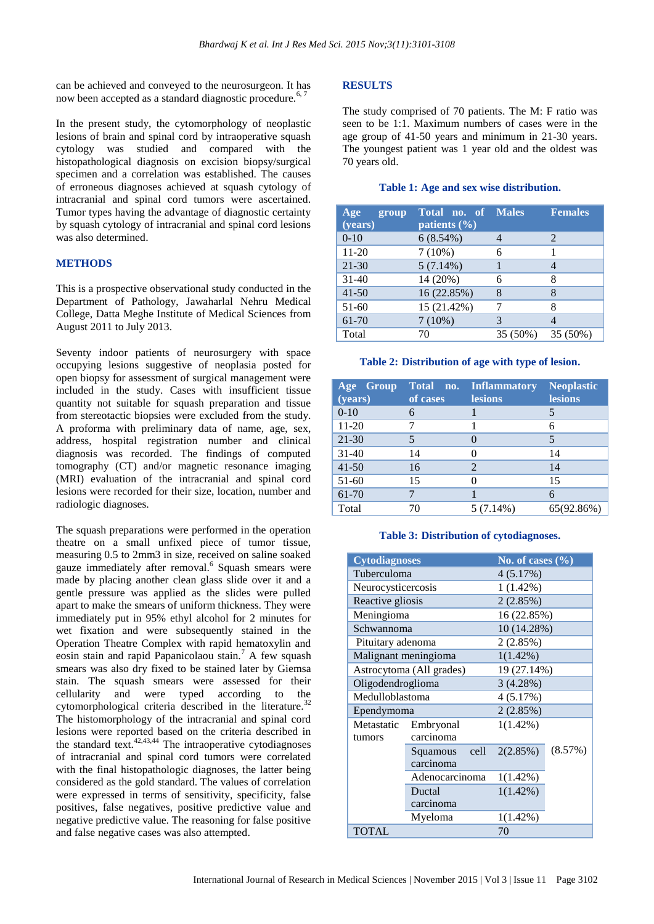can be achieved and conveyed to the neurosurgeon. It has now been accepted as a standard diagnostic procedure.<sup>6, 7</sup>

In the present study, the cytomorphology of neoplastic lesions of brain and spinal cord by intraoperative squash cytology was studied and compared with the histopathological diagnosis on excision biopsy/surgical specimen and a correlation was established. The causes of erroneous diagnoses achieved at squash cytology of intracranial and spinal cord tumors were ascertained. Tumor types having the advantage of diagnostic certainty by squash cytology of intracranial and spinal cord lesions was also determined.

# **METHODS**

This is a prospective observational study conducted in the Department of Pathology, Jawaharlal Nehru Medical College, Datta Meghe Institute of Medical Sciences from August 2011 to July 2013.

Seventy indoor patients of neurosurgery with space occupying lesions suggestive of neoplasia posted for open biopsy for assessment of surgical management were included in the study. Cases with insufficient tissue quantity not suitable for squash preparation and tissue from stereotactic biopsies were excluded from the study. A proforma with preliminary data of name, age, sex, address, hospital registration number and clinical diagnosis was recorded. The findings of computed tomography (CT) and/or magnetic resonance imaging (MRI) evaluation of the intracranial and spinal cord lesions were recorded for their size, location, number and radiologic diagnoses.

The squash preparations were performed in the operation theatre on a small unfixed piece of tumor tissue, measuring 0.5 to 2mm3 in size, received on saline soaked gauze immediately after removal.<sup>6</sup> Squash smears were made by placing another clean glass slide over it and a gentle pressure was applied as the slides were pulled apart to make the smears of uniform thickness. They were immediately put in 95% ethyl alcohol for 2 minutes for wet fixation and were subsequently stained in the Operation Theatre Complex with rapid hematoxylin and eosin stain and rapid Papanicolaou stain.<sup>7</sup> A few squash smears was also dry fixed to be stained later by Giemsa stain. The squash smears were assessed for their cellularity and were typed according to the cytomorphological criteria described in the literature.<sup>32</sup> The histomorphology of the intracranial and spinal cord lesions were reported based on the criteria described in the standard text. $42,43,44$  The intraoperative cytodiagnoses of intracranial and spinal cord tumors were correlated with the final histopathologic diagnoses, the latter being considered as the gold standard. The values of correlation were expressed in terms of sensitivity, specificity, false positives, false negatives, positive predictive value and negative predictive value. The reasoning for false positive and false negative cases was also attempted.

#### **RESULTS**

The study comprised of 70 patients. The M: F ratio was seen to be 1:1. Maximum numbers of cases were in the age group of 41-50 years and minimum in 21-30 years. The youngest patient was 1 year old and the oldest was 70 years old.

#### **Table 1: Age and sex wise distribution.**

| Age<br>group<br>(years) | <b>Total no. of Males</b><br>patients $(\% )$ |          | <b>Females</b>              |
|-------------------------|-----------------------------------------------|----------|-----------------------------|
| $0-10$                  | $6(8.54\%)$                                   |          | $\mathcal{D}_{\mathcal{L}}$ |
| $11-20$                 | $7(10\%)$                                     | 6        |                             |
| $21 - 30$               | 5(7.14%)                                      |          | 4                           |
| $31-40$                 | 14 (20%)                                      | 6        | 8                           |
| $41 - 50$               | 16 (22.85%)                                   | 8        | 8                           |
| $51-60$                 | 15 (21.42%)                                   |          | 8                           |
| 61-70                   | 7(10%)                                        | 3        | 4                           |
| Total                   | 70                                            | 35 (50%) | 35 (50%)                    |

#### **Table 2: Distribution of age with type of lesion.**

| Age Group<br>(years) | Total no.<br>of cases | <b>Inflammatory</b><br><b>lesions</b> | <b>Neoplastic</b><br><b>lesions</b> |
|----------------------|-----------------------|---------------------------------------|-------------------------------------|
| $0-10$               | 6                     |                                       |                                     |
| $11 - 20$            |                       |                                       | 6                                   |
| $21 - 30$            |                       | $\mathcal{O}$                         | 5                                   |
| $31 - 40$            | 14                    |                                       | 14                                  |
| $41 - 50$            | 16                    | $\overline{2}$                        | 14                                  |
| $51-60$              | 15                    | 0                                     | 15                                  |
| 61-70                |                       |                                       | 6                                   |
| Total                | 70                    | 5 (7.14%)                             | 65(92.86%)                          |

#### **Table 3: Distribution of cytodiagnoses.**

| <b>Cytodiagnoses</b> |                          | No. of cases $(\% )$ |             |  |  |
|----------------------|--------------------------|----------------------|-------------|--|--|
| Tuberculoma          |                          | 4(5.17%)             |             |  |  |
| Neurocysticercosis   |                          | $1(1.42\%)$          |             |  |  |
| Reactive gliosis     |                          | 2(2.85%)             |             |  |  |
| Meningioma           |                          | 16 (22.85%)          |             |  |  |
| Schwannoma           |                          |                      | 10 (14.28%) |  |  |
| Pituitary adenoma    |                          | 2(2.85%)             |             |  |  |
| Malignant meningioma |                          | $1(1.42\%)$          |             |  |  |
|                      | Astrocytoma (All grades) | 19 (27.14%)          |             |  |  |
| Oligodendroglioma    |                          | 3(4.28%)             |             |  |  |
| Medulloblastoma      |                          | 4(5.17%)             |             |  |  |
| Ependymoma           |                          | 2(2.85%)             |             |  |  |
| Metastatic           | Embryonal                | $1(1.42\%)$          |             |  |  |
| tumors               | carcinoma                |                      |             |  |  |
|                      | Squamous<br>cell         | 2(2.85%)             | (8.57%)     |  |  |
|                      | carcinoma                |                      |             |  |  |
|                      | Adenocarcinoma           | $1(1.42\%)$          |             |  |  |
|                      | Ductal                   | $1(1.42\%)$          |             |  |  |
|                      | carcinoma                |                      |             |  |  |
|                      | Myeloma                  | $1(1.42\%)$          |             |  |  |
| <b>TOTAL</b>         |                          | 70                   |             |  |  |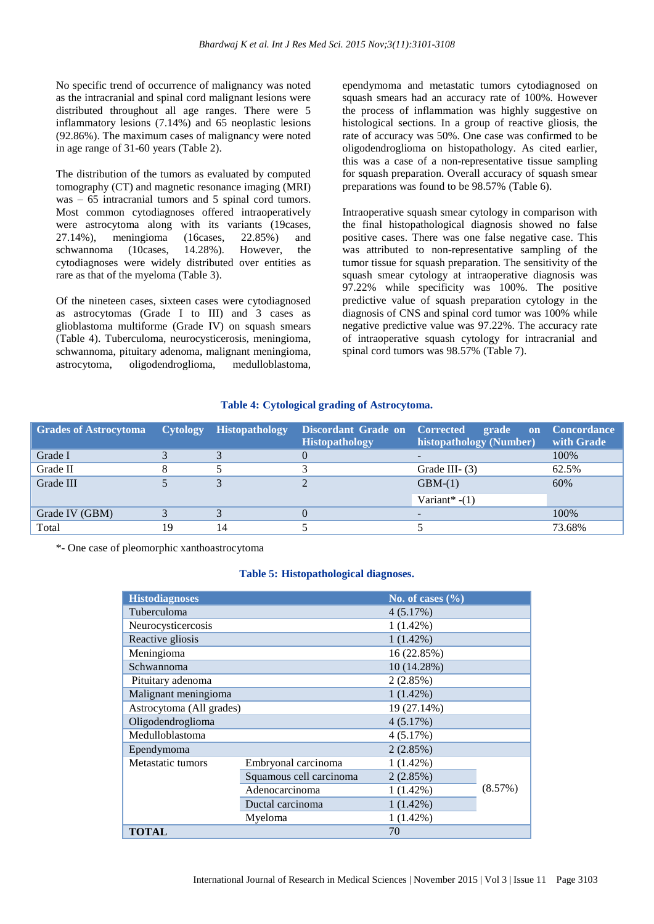No specific trend of occurrence of malignancy was noted as the intracranial and spinal cord malignant lesions were distributed throughout all age ranges. There were 5 inflammatory lesions (7.14%) and 65 neoplastic lesions (92.86%). The maximum cases of malignancy were noted in age range of 31-60 years (Table 2).

The distribution of the tumors as evaluated by computed tomography (CT) and magnetic resonance imaging (MRI) was – 65 intracranial tumors and 5 spinal cord tumors. Most common cytodiagnoses offered intraoperatively were astrocytoma along with its variants (19cases, 27.14%), meningioma (16cases, 22.85%) and schwannoma (10cases, 14.28%). However, the cytodiagnoses were widely distributed over entities as rare as that of the myeloma (Table 3).

Of the nineteen cases, sixteen cases were cytodiagnosed as astrocytomas (Grade I to III) and 3 cases as glioblastoma multiforme (Grade IV) on squash smears (Table 4). Tuberculoma, neurocysticerosis, meningioma, schwannoma, pituitary adenoma, malignant meningioma, astrocytoma, oligodendroglioma, medulloblastoma,

ependymoma and metastatic tumors cytodiagnosed on squash smears had an accuracy rate of 100%. However the process of inflammation was highly suggestive on histological sections. In a group of reactive gliosis, the rate of accuracy was 50%. One case was confirmed to be oligodendroglioma on histopathology. As cited earlier, this was a case of a non-representative tissue sampling for squash preparation. Overall accuracy of squash smear preparations was found to be 98.57% (Table 6).

Intraoperative squash smear cytology in comparison with the final histopathological diagnosis showed no false positive cases. There was one false negative case. This was attributed to non-representative sampling of the tumor tissue for squash preparation. The sensitivity of the squash smear cytology at intraoperative diagnosis was 97.22% while specificity was 100%. The positive predictive value of squash preparation cytology in the diagnosis of CNS and spinal cord tumor was 100% while negative predictive value was 97.22%. The accuracy rate of intraoperative squash cytology for intracranial and spinal cord tumors was 98.57% (Table 7).

# **Table 4: Cytological grading of Astrocytoma.**

| <b>Grades of Astrocytoma</b> |    | Cytology Histopathology | Discordant Grade on Corrected<br><b>Histopathology</b> | grade<br>histopathology (Number) | on Concordance<br>with Grade |
|------------------------------|----|-------------------------|--------------------------------------------------------|----------------------------------|------------------------------|
| Grade I                      |    |                         | $\theta$                                               |                                  | 100%                         |
| Grade II                     |    |                         |                                                        | Grade III $-$ (3)                | 62.5%                        |
| Grade III                    |    |                         |                                                        | $GBM-(1)$                        | 60%                          |
|                              |    |                         |                                                        | Variant* $-(1)$                  |                              |
| Grade IV (GBM)               |    |                         | $\theta$                                               |                                  | 100%                         |
| Total                        | 19 | 14                      |                                                        |                                  | 73.68%                       |

\*- One case of pleomorphic xanthoastrocytoma

#### **Table 5: Histopathological diagnoses.**

| <b>Histodiagnoses</b>    |                         | No. of cases $(\%$ |         |
|--------------------------|-------------------------|--------------------|---------|
| Tuberculoma              | 4(5.17%)                |                    |         |
| Neurocysticercosis       |                         | $1(1.42\%)$        |         |
| Reactive gliosis         |                         | $1(1.42\%)$        |         |
| Meningioma               |                         | 16 (22.85%)        |         |
| Schwannoma               |                         | 10 (14.28%)        |         |
| Pituitary adenoma        |                         | 2(2.85%)           |         |
| Malignant meningioma     | $1(1.42\%)$             |                    |         |
| Astrocytoma (All grades) |                         | 19 (27.14%)        |         |
| Oligodendroglioma        |                         | 4(5.17%)           |         |
| Medulloblastoma          |                         | 4(5.17%)           |         |
| Ependymoma               |                         | 2(2.85%)           |         |
| Metastatic tumors        | Embryonal carcinoma     | $1(1.42\%)$        |         |
|                          | Squamous cell carcinoma | 2(2.85%)           |         |
|                          | Adenocarcinoma          | $1(1.42\%)$        | (8.57%) |
|                          | Ductal carcinoma        | $1(1.42\%)$        |         |
|                          | Myeloma                 | $1(1.42\%)$        |         |
| <b>TOTAL</b>             |                         | 70                 |         |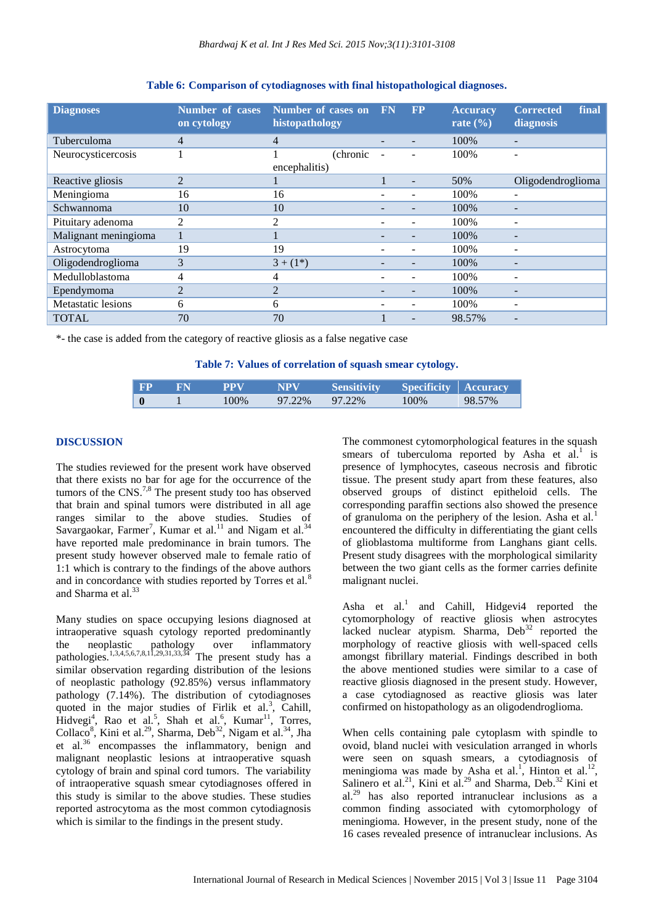| <b>Diagnoses</b>          | <b>Number of cases</b><br>on cytology | Number of cases on FN<br>histopathology | <b>FP</b> | <b>Accuracy</b><br>rate $(\% )$ | final<br><b>Corrected</b><br>diagnosis |
|---------------------------|---------------------------------------|-----------------------------------------|-----------|---------------------------------|----------------------------------------|
| Tuberculoma               | 4                                     | $\overline{4}$                          |           | 100%                            |                                        |
| Neurocysticercosis        |                                       | (chronic)                               |           | 100%                            |                                        |
|                           |                                       | encephalitis)                           |           |                                 |                                        |
| Reactive gliosis          | $\overline{2}$                        |                                         |           | 50%                             | Oligodendroglioma                      |
| Meningioma                | 16                                    | 16                                      |           | 100%                            | $\overline{\phantom{0}}$               |
| Schwannoma                | 10                                    | 10                                      |           | 100%                            |                                        |
| Pituitary adenoma         | 2                                     | $\overline{2}$                          |           | 100%                            | $\overline{\phantom{0}}$               |
| Malignant meningioma      |                                       |                                         |           | 100%                            |                                        |
| Astrocytoma               | 19                                    | 19                                      |           | 100%                            |                                        |
| Oligodendroglioma         | 3                                     | $3 + (1^*)$                             |           | 100%                            |                                        |
| Medulloblastoma           | 4                                     | 4                                       |           | 100%                            | $\overline{\phantom{0}}$               |
| Ependymoma                | $\overline{2}$                        | $\overline{2}$                          |           | 100%                            |                                        |
| <b>Metastatic lesions</b> | 6                                     | 6                                       |           | 100%                            | ۰                                      |
| <b>TOTAL</b>              | 70                                    | 70                                      |           | 98.57%                          |                                        |

### **Table 6: Comparison of cytodiagnoses with final histopathological diagnoses.**

\*- the case is added from the category of reactive gliosis as a false negative case

**Table 7: Values of correlation of squash smear cytology.**

| <b>FP</b> | FN | PPV  | NPV    | <b>Sensitivity</b> | <b>Specificity Accuracy</b> |        |
|-----------|----|------|--------|--------------------|-----------------------------|--------|
| $\bf{0}$  |    | 100% | 97.22% | 97.22%             | 100%                        | 98.57% |

# **DISCUSSION**

The studies reviewed for the present work have observed that there exists no bar for age for the occurrence of the tumors of the  $CNS$ .<sup>7,8</sup> The present study too has observed that brain and spinal tumors were distributed in all age ranges similar to the above studies. Studies of Savargaokar, Farmer<sup>7</sup>, Kumar et al.<sup>11</sup> and Nigam et al.<sup>34</sup> have reported male predominance in brain tumors. The present study however observed male to female ratio of 1:1 which is contrary to the findings of the above authors and in concordance with studies reported by Torres et al.<sup>8</sup> and Sharma et al.<sup>33</sup>

Many studies on space occupying lesions diagnosed at intraoperative squash cytology reported predominantly the neoplastic pathology over inflammatory pathologies.<sup>1,3,4,5,6,7,8,11,29,31,33,34</sup> The present study has a similar observation regarding distribution of the lesions of neoplastic pathology (92.85%) versus inflammatory pathology (7.14%). The distribution of cytodiagnoses quoted in the major studies of Firlik et al.<sup>3</sup>, Cahill,  $\text{Hidvegi}^4$ , Rao et al.<sup>5</sup>, Shah et al.<sup>6</sup>, Kumar<sup>11</sup>, Torres, Collaco<sup>8</sup>, Kini et al.<sup>29</sup>, Sharma, Deb<sup>32</sup>, Nigam et al.<sup>34</sup>, Jha et al.<sup>36</sup> encompasses the inflammatory, benign and malignant neoplastic lesions at intraoperative squash cytology of brain and spinal cord tumors. The variability of intraoperative squash smear cytodiagnoses offered in this study is similar to the above studies. These studies reported astrocytoma as the most common cytodiagnosis which is similar to the findings in the present study.

The commonest cytomorphological features in the squash smears of tuberculoma reported by Asha et  $al.$ <sup>1</sup> is presence of lymphocytes, caseous necrosis and fibrotic tissue. The present study apart from these features, also observed groups of distinct epitheloid cells. The corresponding paraffin sections also showed the presence of granuloma on the periphery of the lesion. Asha et al.<sup>1</sup> encountered the difficulty in differentiating the giant cells of glioblastoma multiforme from Langhans giant cells. Present study disagrees with the morphological similarity between the two giant cells as the former carries definite malignant nuclei.

Asha et al.<sup>1</sup> and Cahill, Hidgevi<sup>4</sup> reported the cytomorphology of reactive gliosis when astrocytes lacked nuclear atypism. Sharma,  $Deb<sup>32</sup>$  reported the morphology of reactive gliosis with well-spaced cells amongst fibrillary material. Findings described in both the above mentioned studies were similar to a case of reactive gliosis diagnosed in the present study. However, a case cytodiagnosed as reactive gliosis was later confirmed on histopathology as an oligodendroglioma.

When cells containing pale cytoplasm with spindle to ovoid, bland nuclei with vesiculation arranged in whorls were seen on squash smears, a cytodiagnosis of meningioma was made by Asha et al.<sup>1</sup>, Hinton et al.<sup>12</sup>, Salinero et al.<sup>21</sup>, Kini et al.<sup>29</sup> and Sharma, Deb.<sup>32</sup> Kini et  $al.^{29}$  has also reported intranuclear inclusions as a common finding associated with cytomorphology of meningioma. However, in the present study, none of the 16 cases revealed presence of intranuclear inclusions. As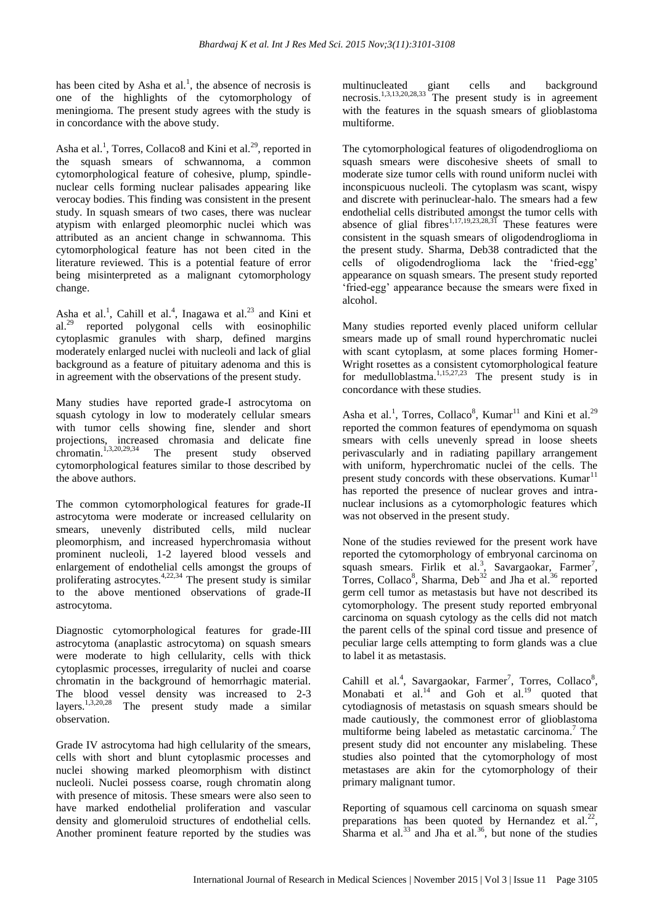has been cited by Asha et al.<sup>1</sup>, the absence of necrosis is one of the highlights of the cytomorphology of meningioma. The present study agrees with the study is in concordance with the above study.

Asha et al.<sup>1</sup>, Torres, Collaco8 and Kini et al.<sup>29</sup>, reported in the squash smears of schwannoma, a common cytomorphological feature of cohesive, plump, spindlenuclear cells forming nuclear palisades appearing like verocay bodies. This finding was consistent in the present study. In squash smears of two cases, there was nuclear atypism with enlarged pleomorphic nuclei which was attributed as an ancient change in schwannoma. This cytomorphological feature has not been cited in the literature reviewed. This is a potential feature of error being misinterpreted as a malignant cytomorphology change.

Asha et al.<sup>1</sup>, Cahill et al.<sup>4</sup>, Inagawa et al.<sup>23</sup> and Kini et al.<sup>29</sup> reported polygonal cells with eosinophilic cytoplasmic granules with sharp, defined margins moderately enlarged nuclei with nucleoli and lack of glial background as a feature of pituitary adenoma and this is in agreement with the observations of the present study.

Many studies have reported grade-I astrocytoma on squash cytology in low to moderately cellular smears with tumor cells showing fine, slender and short projections, increased chromasia and delicate fine<br>chromatin.<sup>1,3,20,29,34</sup> The present study observed The present study observed cytomorphological features similar to those described by the above authors.

The common cytomorphological features for grade-II astrocytoma were moderate or increased cellularity on smears, unevenly distributed cells, mild nuclear pleomorphism, and increased hyperchromasia without prominent nucleoli, 1-2 layered blood vessels and enlargement of endothelial cells amongst the groups of proliferating astrocytes. $4,22,34$  The present study is similar to the above mentioned observations of grade-II astrocytoma.

Diagnostic cytomorphological features for grade-III astrocytoma (anaplastic astrocytoma) on squash smears were moderate to high cellularity, cells with thick cytoplasmic processes, irregularity of nuclei and coarse chromatin in the background of hemorrhagic material. The blood vessel density was increased to 2-3 layers.<sup>1,3,20,28</sup> The present study made a similar observation.

Grade IV astrocytoma had high cellularity of the smears, cells with short and blunt cytoplasmic processes and nuclei showing marked pleomorphism with distinct nucleoli. Nuclei possess coarse, rough chromatin along with presence of mitosis. These smears were also seen to have marked endothelial proliferation and vascular density and glomeruloid structures of endothelial cells. Another prominent feature reported by the studies was

multinucleated giant cells and background necrosis.1,3,13,20,28,33 The present study is in agreement with the features in the squash smears of glioblastoma multiforme.

The cytomorphological features of oligodendroglioma on squash smears were discohesive sheets of small to moderate size tumor cells with round uniform nuclei with inconspicuous nucleoli. The cytoplasm was scant, wispy and discrete with perinuclear-halo. The smears had a few endothelial cells distributed amongst the tumor cells with absence of glial fibres<sup>1,17,19,23,28,31</sup> These features were consistent in the squash smears of oligodendroglioma in the present study. Sharma, Deb38 contradicted that the cells of oligodendroglioma lack the 'fried-egg' appearance on squash smears. The present study reported 'fried-egg' appearance because the smears were fixed in alcohol.

Many studies reported evenly placed uniform cellular smears made up of small round hyperchromatic nuclei with scant cytoplasm, at some places forming Homer-Wright rosettes as a consistent cytomorphological feature for medulloblastma.<sup>1,15,27,23</sup> The present study is in concordance with these studies.

Asha et al.<sup>1</sup>, Torres, Collaco<sup>8</sup>, Kumar<sup>11</sup> and Kini et al.<sup>29</sup> reported the common features of ependymoma on squash smears with cells unevenly spread in loose sheets perivascularly and in radiating papillary arrangement with uniform, hyperchromatic nuclei of the cells. The present study concords with these observations. Kumar<sup>11</sup> has reported the presence of nuclear groves and intranuclear inclusions as a cytomorphologic features which was not observed in the present study.

None of the studies reviewed for the present work have reported the cytomorphology of embryonal carcinoma on squash smears. Firlik et al.<sup>3</sup>, Savargaokar, Farmer<sup>7</sup>, Torres, Collaco<sup>8</sup>, Sharma, Deb<sup>32</sup> and Jha et al.<sup>36</sup> reported germ cell tumor as metastasis but have not described its cytomorphology. The present study reported embryonal carcinoma on squash cytology as the cells did not match the parent cells of the spinal cord tissue and presence of peculiar large cells attempting to form glands was a clue to label it as metastasis.

Cahill et al.<sup>4</sup>, Savargaokar, Farmer<sup>7</sup>, Torres, Collaco<sup>8</sup>, Monabati et al. $14$  and Goh et al. $19$  quoted that cytodiagnosis of metastasis on squash smears should be made cautiously, the commonest error of glioblastoma multiforme being labeled as metastatic carcinoma.<sup>7</sup> The present study did not encounter any mislabeling. These studies also pointed that the cytomorphology of most metastases are akin for the cytomorphology of their primary malignant tumor.

Reporting of squamous cell carcinoma on squash smear preparations has been quoted by Hernandez et  $al.^{22}$ , Sharma et al. $^{33}$  and Jha et al. $^{36}$ , but none of the studies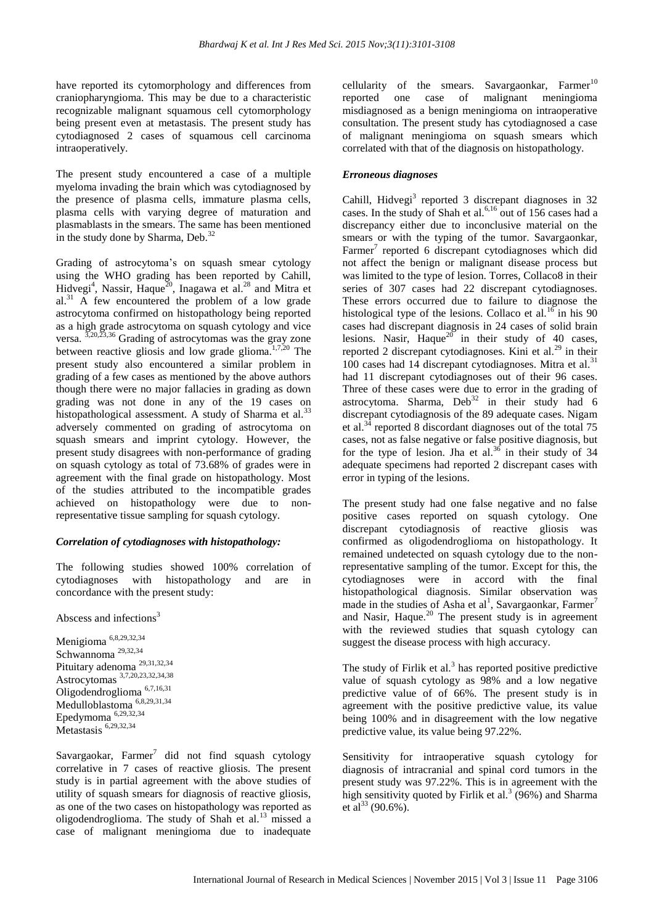have reported its cytomorphology and differences from craniopharyngioma. This may be due to a characteristic recognizable malignant squamous cell cytomorphology being present even at metastasis. The present study has cytodiagnosed 2 cases of squamous cell carcinoma intraoperatively.

The present study encountered a case of a multiple myeloma invading the brain which was cytodiagnosed by the presence of plasma cells, immature plasma cells, plasma cells with varying degree of maturation and plasmablasts in the smears. The same has been mentioned in the study done by Sharma, Deb.<sup>32</sup>

Grading of astrocytoma's on squash smear cytology using the WHO grading has been reported by Cahill, Hidvegi<sup>4</sup>, Nassir, Haque<sup>20</sup>, Inagawa et al.<sup>28</sup> and Mitra et al. $31$  A few encountered the problem of a low grade astrocytoma confirmed on histopathology being reported as a high grade astrocytoma on squash cytology and vice versa. 3,20,23,36 Grading of astrocytomas was the gray zone between reactive gliosis and low grade glioma.<sup>1,7,20</sup> The present study also encountered a similar problem in grading of a few cases as mentioned by the above authors though there were no major fallacies in grading as down grading was not done in any of the 19 cases on histopathological assessment. A study of Sharma et al.<sup>33</sup> adversely commented on grading of astrocytoma on squash smears and imprint cytology. However, the present study disagrees with non-performance of grading on squash cytology as total of 73.68% of grades were in agreement with the final grade on histopathology. Most of the studies attributed to the incompatible grades achieved on histopathology were due to nonrepresentative tissue sampling for squash cytology.

# *Correlation of cytodiagnoses with histopathology:*

The following studies showed 100% correlation of cytodiagnoses with histopathology and are in concordance with the present study:

Abscess and infections $3$ 

Menigioma 6,8,29,32,34 Schwannoma 29,32,34 Pituitary adenoma 29,31,32,34 Astrocytomas 3,7,20,23,32,34,38 Oligodendroglioma 6,7,16,31 Medulloblastoma 6,8,29,31,34 Epedymoma 6,29,32,34 Metastasis<sup>6,29,32,34</sup>

Savargaokar, Farmer $^7$  did not find squash cytology correlative in 7 cases of reactive gliosis. The present study is in partial agreement with the above studies of utility of squash smears for diagnosis of reactive gliosis, as one of the two cases on histopathology was reported as oligodendroglioma. The study of Shah et al.<sup>13</sup> missed a case of malignant meningioma due to inadequate

cellularity of the smears. Savargaonkar, Farmer<sup>10</sup> reported one case of malignant meningioma misdiagnosed as a benign meningioma on intraoperative consultation. The present study has cytodiagnosed a case of malignant meningioma on squash smears which correlated with that of the diagnosis on histopathology.

# *Erroneous diagnoses*

Cahill, Hidvegi<sup>3</sup> reported 3 discrepant diagnoses in 32 cases. In the study of Shah et al.<sup>6,16</sup> out of 156 cases had a discrepancy either due to inconclusive material on the smears or with the typing of the tumor. Savargaonkar, Farmer<sup>7</sup> reported 6 discrepant cytodiagnoses which did not affect the benign or malignant disease process but was limited to the type of lesion. Torres, Collaco8 in their series of 307 cases had 22 discrepant cytodiagnoses. These errors occurred due to failure to diagnose the histological type of the lesions. Collaco et al.<sup>16</sup> in his 90 cases had discrepant diagnosis in 24 cases of solid brain lesions. Nasir, Haque $^{20}$  in their study of 40 cases, reported 2 discrepant cytodiagnoses. Kini et al.<sup>29</sup> in their 100 cases had 14 discrepant cytodiagnoses. Mitra et al. $31$ had 11 discrepant cytodiagnoses out of their 96 cases. Three of these cases were due to error in the grading of astrocytoma. Sharma,  $Deb<sup>32</sup>$  in their study had 6 discrepant cytodiagnosis of the 89 adequate cases. Nigam et al. $34$  reported 8 discordant diagnoses out of the total 75 cases, not as false negative or false positive diagnosis, but for the type of lesion. Jha et al. $36$  in their study of 34 adequate specimens had reported 2 discrepant cases with error in typing of the lesions.

The present study had one false negative and no false positive cases reported on squash cytology. One discrepant cytodiagnosis of reactive gliosis was confirmed as oligodendroglioma on histopathology. It remained undetected on squash cytology due to the nonrepresentative sampling of the tumor. Except for this, the cytodiagnoses were in accord with the final histopathological diagnosis. Similar observation was made in the studies of Asha et al<sup>1</sup>, Savargaonkar, Farmer<sup>7</sup> and Nasir, Haque. $20$  The present study is in agreement with the reviewed studies that squash cytology can suggest the disease process with high accuracy.

The study of Firlik et al. $3$  has reported positive predictive value of squash cytology as 98% and a low negative predictive value of of 66%. The present study is in agreement with the positive predictive value, its value being 100% and in disagreement with the low negative predictive value, its value being 97.22%.

Sensitivity for intraoperative squash cytology for diagnosis of intracranial and spinal cord tumors in the present study was 97.22%. This is in agreement with the high sensitivity quoted by Firlik et al.<sup>3</sup> (96%) and Sharma et al<sup>33</sup> (90.6%).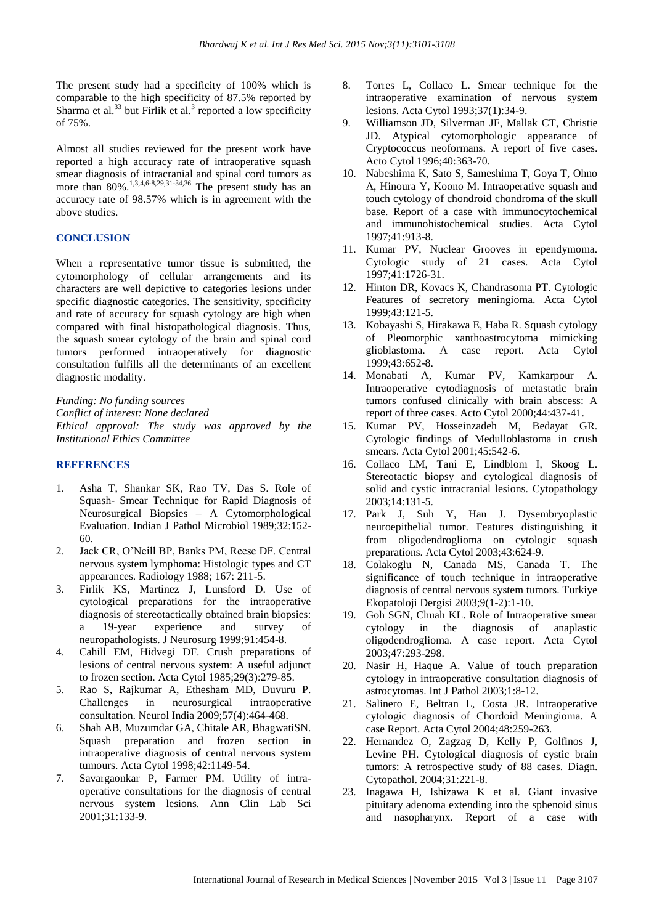The present study had a specificity of 100% which is comparable to the high specificity of 87.5% reported by Sharma et al. $^{33}$  but Firlik et al.<sup>3</sup> reported a low specificity of 75%.

Almost all studies reviewed for the present work have reported a high accuracy rate of intraoperative squash smear diagnosis of intracranial and spinal cord tumors as more than  $80\%$ .<sup>1,3,4,6-8,29,31-34,36</sup> The present study has an accuracy rate of 98.57% which is in agreement with the above studies.

# **CONCLUSION**

When a representative tumor tissue is submitted, the cytomorphology of cellular arrangements and its characters are well depictive to categories lesions under specific diagnostic categories. The sensitivity, specificity and rate of accuracy for squash cytology are high when compared with final histopathological diagnosis. Thus, the squash smear cytology of the brain and spinal cord tumors performed intraoperatively for diagnostic consultation fulfills all the determinants of an excellent diagnostic modality.

*Funding: No funding sources Conflict of interest: None declared Ethical approval: The study was approved by the Institutional Ethics Committee*

#### **REFERENCES**

- 1. Asha T, Shankar SK, Rao TV, Das S. Role of Squash- Smear Technique for Rapid Diagnosis of Neurosurgical Biopsies – A Cytomorphological Evaluation. Indian J Pathol Microbiol 1989;32:152- 60.
- 2. Jack CR, O'Neill BP, Banks PM, Reese DF. Central nervous system lymphoma: Histologic types and CT appearances. Radiology 1988; 167: 211-5.
- 3. Firlik KS, Martinez J, Lunsford D. Use of cytological preparations for the intraoperative diagnosis of stereotactically obtained brain biopsies: a 19-year experience and survey of neuropathologists. J Neurosurg 1999;91:454-8.
- 4. Cahill EM, Hidvegi DF. Crush preparations of lesions of central nervous system: A useful adjunct to frozen section. Acta Cytol 1985;29(3):279-85.
- 5. Rao S, Rajkumar A, Ethesham MD, Duvuru P. Challenges in neurosurgical intraoperative consultation. Neurol India 2009;57(4):464-468.
- 6. Shah AB, Muzumdar GA, Chitale AR, BhagwatiSN. Squash preparation and frozen section in intraoperative diagnosis of central nervous system tumours. Acta Cytol 1998;42:1149-54.
- 7. Savargaonkar P, Farmer PM. Utility of intraoperative consultations for the diagnosis of central nervous system lesions. Ann Clin Lab Sci 2001;31:133-9.
- 8. Torres L, Collaco L. Smear technique for the intraoperative examination of nervous system lesions. Acta Cytol 1993;37(1):34-9.
- 9. Williamson JD, Silverman JF, Mallak CT, Christie JD. Atypical cytomorphologic appearance of Cryptococcus neoformans. A report of five cases. Acto Cytol 1996;40:363-70.
- 10. Nabeshima K, Sato S, Sameshima T, Goya T, Ohno A, Hinoura Y, Koono M. Intraoperative squash and touch cytology of chondroid chondroma of the skull base. Report of a case with immunocytochemical and immunohistochemical studies. Acta Cytol 1997;41:913-8.
- 11. Kumar PV, Nuclear Grooves in ependymoma. Cytologic study of 21 cases. Acta Cytol 1997;41:1726-31.
- 12. Hinton DR, Kovacs K, Chandrasoma PT. Cytologic Features of secretory meningioma. Acta Cytol 1999;43:121-5.
- 13. Kobayashi S, Hirakawa E, Haba R. Squash cytology of Pleomorphic xanthoastrocytoma mimicking glioblastoma. A case report. Acta Cytol 1999;43:652-8.
- 14. Monabati A, Kumar PV, Kamkarpour A. Intraoperative cytodiagnosis of metastatic brain tumors confused clinically with brain abscess: A report of three cases. Acto Cytol 2000;44:437-41.
- 15. Kumar PV, Hosseinzadeh M, Bedayat GR. Cytologic findings of Medulloblastoma in crush smears. Acta Cytol 2001;45:542-6.
- 16. Collaco LM, Tani E, Lindblom I, Skoog L. Stereotactic biopsy and cytological diagnosis of solid and cystic intracranial lesions. Cytopathology 2003;14:131-5.
- 17. Park J, Suh Y, Han J. Dysembryoplastic neuroepithelial tumor. Features distinguishing it from oligodendroglioma on cytologic squash preparations. Acta Cytol 2003;43:624-9.
- 18. Colakoglu N, Canada MS, Canada T. The significance of touch technique in intraoperative diagnosis of central nervous system tumors. Turkiye Ekopatoloji Dergisi 2003;9(1-2):1-10.
- 19. Goh SGN, Chuah KL. Role of Intraoperative smear cytology in the diagnosis of anaplastic oligodendroglioma. A case report. Acta Cytol 2003;47:293-298.
- 20. Nasir H, Haque A. Value of touch preparation cytology in intraoperative consultation diagnosis of astrocytomas. Int J Pathol 2003;1:8-12.
- 21. Salinero E, Beltran L, Costa JR. Intraoperative cytologic diagnosis of Chordoid Meningioma. A case Report. Acta Cytol 2004;48:259-263.
- 22. Hernandez O, Zagzag D, Kelly P, Golfinos J, Levine PH. Cytological diagnosis of cystic brain tumors: A retrospective study of 88 cases. Diagn. Cytopathol. 2004;31:221-8.
- 23. Inagawa H, Ishizawa K et al. Giant invasive pituitary adenoma extending into the sphenoid sinus and nasopharynx. Report of a case with